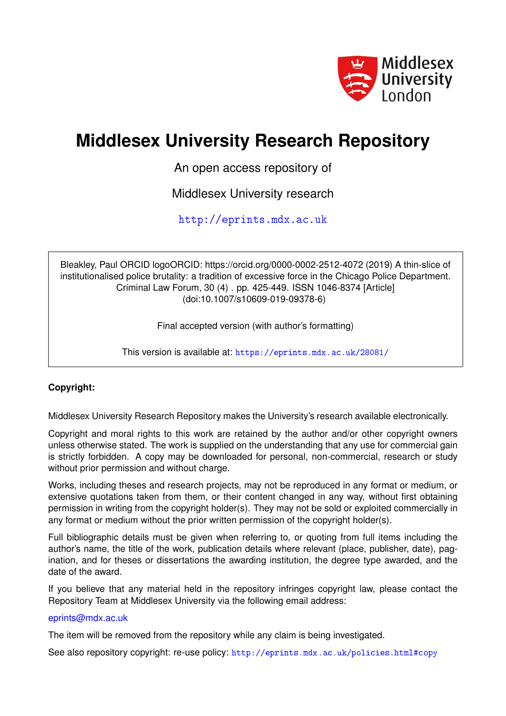

# **Middlesex University Research Repository**

An open access repository of

Middlesex University research

<http://eprints.mdx.ac.uk>

Bleakley, Paul ORCID logoORCID: https://orcid.org/0000-0002-2512-4072 (2019) A thin-slice of institutionalised police brutality: a tradition of excessive force in the Chicago Police Department. Criminal Law Forum, 30 (4) . pp. 425-449. ISSN 1046-8374 [Article] (doi:10.1007/s10609-019-09378-6)

Final accepted version (with author's formatting)

This version is available at: <https://eprints.mdx.ac.uk/28081/>

## **Copyright:**

Middlesex University Research Repository makes the University's research available electronically.

Copyright and moral rights to this work are retained by the author and/or other copyright owners unless otherwise stated. The work is supplied on the understanding that any use for commercial gain is strictly forbidden. A copy may be downloaded for personal, non-commercial, research or study without prior permission and without charge.

Works, including theses and research projects, may not be reproduced in any format or medium, or extensive quotations taken from them, or their content changed in any way, without first obtaining permission in writing from the copyright holder(s). They may not be sold or exploited commercially in any format or medium without the prior written permission of the copyright holder(s).

Full bibliographic details must be given when referring to, or quoting from full items including the author's name, the title of the work, publication details where relevant (place, publisher, date), pagination, and for theses or dissertations the awarding institution, the degree type awarded, and the date of the award.

If you believe that any material held in the repository infringes copyright law, please contact the Repository Team at Middlesex University via the following email address:

## [eprints@mdx.ac.uk](mailto:eprints@mdx.ac.uk)

The item will be removed from the repository while any claim is being investigated.

See also repository copyright: re-use policy: <http://eprints.mdx.ac.uk/policies.html#copy>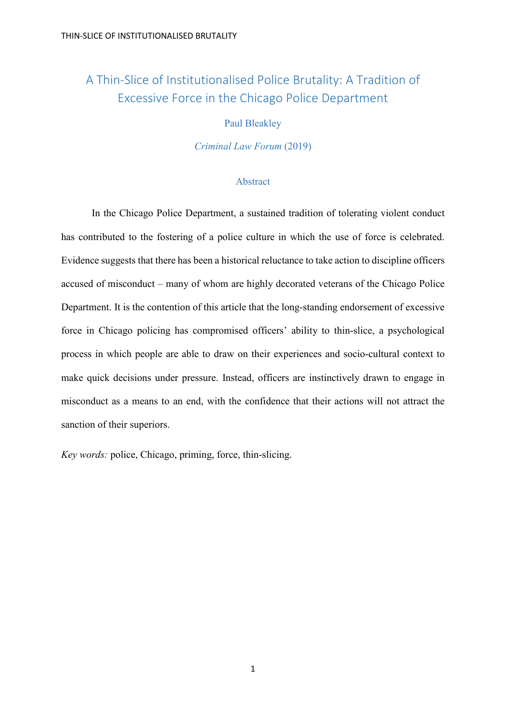## A Thin-Slice of Institutionalised Police Brutality: A Tradition of Excessive Force in the Chicago Police Department

## Paul Bleakley

*Criminal Law Forum* (2019)

## Abstract

In the Chicago Police Department, a sustained tradition of tolerating violent conduct has contributed to the fostering of a police culture in which the use of force is celebrated. Evidence suggests that there has been a historical reluctance to take action to discipline officers accused of misconduct – many of whom are highly decorated veterans of the Chicago Police Department. It is the contention of this article that the long-standing endorsement of excessive force in Chicago policing has compromised officers' ability to thin-slice, a psychological process in which people are able to draw on their experiences and socio-cultural context to make quick decisions under pressure. Instead, officers are instinctively drawn to engage in misconduct as a means to an end, with the confidence that their actions will not attract the sanction of their superiors.

*Key words:* police, Chicago, priming, force, thin-slicing.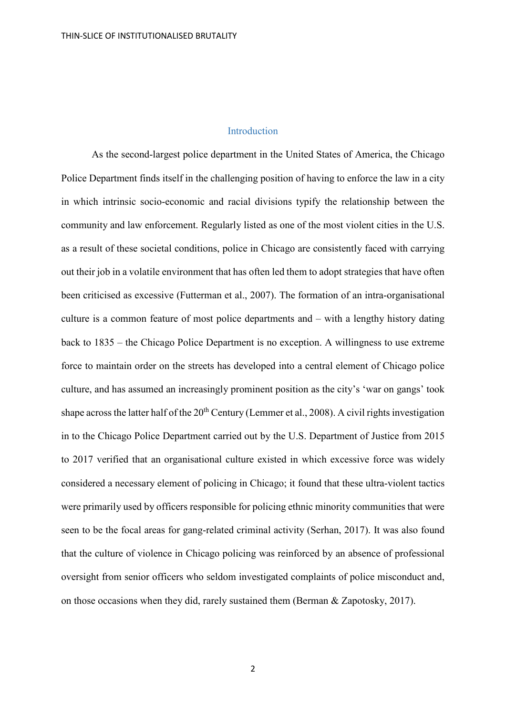#### Introduction

As the second-largest police department in the United States of America, the Chicago Police Department finds itself in the challenging position of having to enforce the law in a city in which intrinsic socio-economic and racial divisions typify the relationship between the community and law enforcement. Regularly listed as one of the most violent cities in the U.S. as a result of these societal conditions, police in Chicago are consistently faced with carrying out their job in a volatile environment that has often led them to adopt strategies that have often been criticised as excessive (Futterman et al., 2007). The formation of an intra-organisational culture is a common feature of most police departments and – with a lengthy history dating back to 1835 – the Chicago Police Department is no exception. A willingness to use extreme force to maintain order on the streets has developed into a central element of Chicago police culture, and has assumed an increasingly prominent position as the city's 'war on gangs' took shape across the latter half of the  $20<sup>th</sup>$  Century (Lemmer et al., 2008). A civil rights investigation in to the Chicago Police Department carried out by the U.S. Department of Justice from 2015 to 2017 verified that an organisational culture existed in which excessive force was widely considered a necessary element of policing in Chicago; it found that these ultra-violent tactics were primarily used by officers responsible for policing ethnic minority communities that were seen to be the focal areas for gang-related criminal activity (Serhan, 2017). It was also found that the culture of violence in Chicago policing was reinforced by an absence of professional oversight from senior officers who seldom investigated complaints of police misconduct and, on those occasions when they did, rarely sustained them (Berman & Zapotosky, 2017).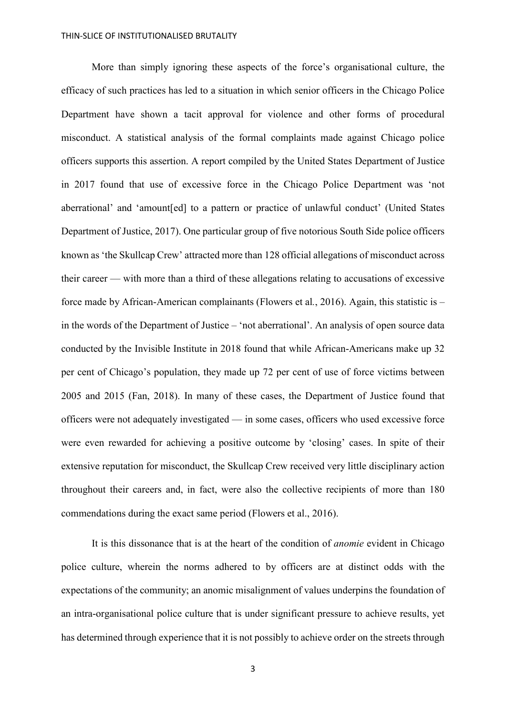More than simply ignoring these aspects of the force's organisational culture, the efficacy of such practices has led to a situation in which senior officers in the Chicago Police Department have shown a tacit approval for violence and other forms of procedural misconduct. A statistical analysis of the formal complaints made against Chicago police officers supports this assertion. A report compiled by the United States Department of Justice in 2017 found that use of excessive force in the Chicago Police Department was 'not aberrational' and 'amount[ed] to a pattern or practice of unlawful conduct' (United States Department of Justice, 2017). One particular group of five notorious South Side police officers known as 'the Skullcap Crew' attracted more than 128 official allegations of misconduct across their career — with more than a third of these allegations relating to accusations of excessive force made by African-American complainants (Flowers et al*.*, 2016). Again, this statistic is – in the words of the Department of Justice – 'not aberrational'. An analysis of open source data conducted by the Invisible Institute in 2018 found that while African-Americans make up 32 per cent of Chicago's population, they made up 72 per cent of use of force victims between 2005 and 2015 (Fan, 2018). In many of these cases, the Department of Justice found that officers were not adequately investigated — in some cases, officers who used excessive force were even rewarded for achieving a positive outcome by 'closing' cases. In spite of their extensive reputation for misconduct, the Skullcap Crew received very little disciplinary action throughout their careers and, in fact, were also the collective recipients of more than 180 commendations during the exact same period (Flowers et al., 2016).

It is this dissonance that is at the heart of the condition of *anomie* evident in Chicago police culture, wherein the norms adhered to by officers are at distinct odds with the expectations of the community; an anomic misalignment of values underpins the foundation of an intra-organisational police culture that is under significant pressure to achieve results, yet has determined through experience that it is not possibly to achieve order on the streets through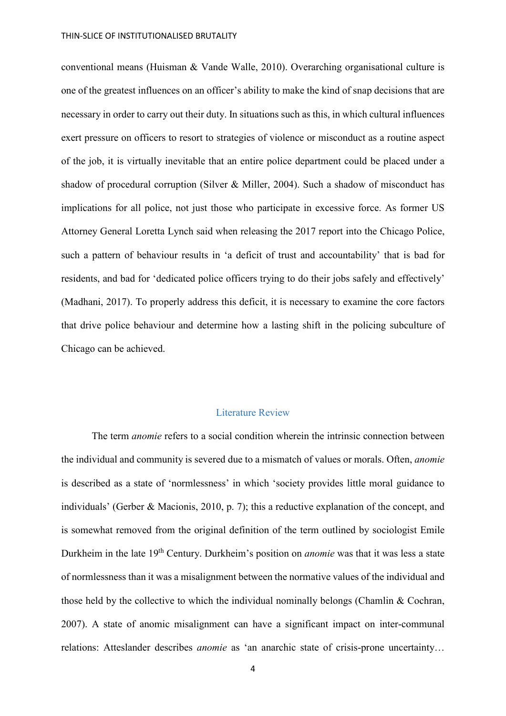conventional means (Huisman & Vande Walle, 2010). Overarching organisational culture is one of the greatest influences on an officer's ability to make the kind of snap decisions that are necessary in order to carry out their duty. In situations such as this, in which cultural influences exert pressure on officers to resort to strategies of violence or misconduct as a routine aspect of the job, it is virtually inevitable that an entire police department could be placed under a shadow of procedural corruption (Silver & Miller, 2004). Such a shadow of misconduct has implications for all police, not just those who participate in excessive force. As former US Attorney General Loretta Lynch said when releasing the 2017 report into the Chicago Police, such a pattern of behaviour results in 'a deficit of trust and accountability' that is bad for residents, and bad for 'dedicated police officers trying to do their jobs safely and effectively' (Madhani, 2017). To properly address this deficit, it is necessary to examine the core factors that drive police behaviour and determine how a lasting shift in the policing subculture of Chicago can be achieved.

## Literature Review

The term *anomie* refers to a social condition wherein the intrinsic connection between the individual and community is severed due to a mismatch of values or morals. Often, *anomie*  is described as a state of 'normlessness' in which 'society provides little moral guidance to individuals' (Gerber & Macionis, 2010, p. 7); this a reductive explanation of the concept, and is somewhat removed from the original definition of the term outlined by sociologist Emile Durkheim in the late 19th Century. Durkheim's position on *anomie* was that it was less a state of normlessness than it was a misalignment between the normative values of the individual and those held by the collective to which the individual nominally belongs (Chamlin & Cochran, 2007). A state of anomic misalignment can have a significant impact on inter-communal relations: Atteslander describes *anomie* as 'an anarchic state of crisis-prone uncertainty…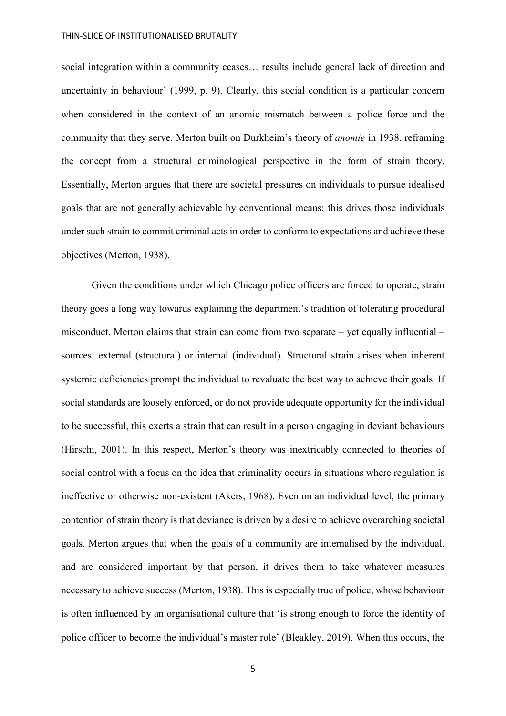social integration within a community ceases… results include general lack of direction and uncertainty in behaviour' (1999, p. 9). Clearly, this social condition is a particular concern when considered in the context of an anomic mismatch between a police force and the community that they serve. Merton built on Durkheim's theory of *anomie* in 1938, reframing the concept from a structural criminological perspective in the form of strain theory. Essentially, Merton argues that there are societal pressures on individuals to pursue idealised goals that are not generally achievable by conventional means; this drives those individuals under such strain to commit criminal acts in order to conform to expectations and achieve these objectives (Merton, 1938).

Given the conditions under which Chicago police officers are forced to operate, strain theory goes a long way towards explaining the department's tradition of tolerating procedural misconduct. Merton claims that strain can come from two separate – yet equally influential – sources: external (structural) or internal (individual). Structural strain arises when inherent systemic deficiencies prompt the individual to revaluate the best way to achieve their goals. If social standards are loosely enforced, or do not provide adequate opportunity for the individual to be successful, this exerts a strain that can result in a person engaging in deviant behaviours (Hirschi, 2001). In this respect, Merton's theory was inextricably connected to theories of social control with a focus on the idea that criminality occurs in situations where regulation is ineffective or otherwise non-existent (Akers, 1968). Even on an individual level, the primary contention of strain theory is that deviance is driven by a desire to achieve overarching societal goals. Merton argues that when the goals of a community are internalised by the individual, and are considered important by that person, it drives them to take whatever measures necessary to achieve success (Merton, 1938). This is especially true of police, whose behaviour is often influenced by an organisational culture that 'is strong enough to force the identity of police officer to become the individual's master role' (Bleakley, 2019). When this occurs, the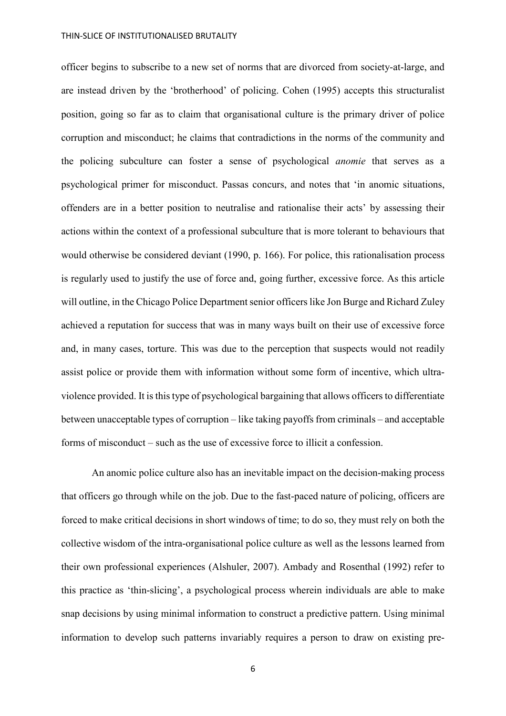officer begins to subscribe to a new set of norms that are divorced from society-at-large, and are instead driven by the 'brotherhood' of policing. Cohen (1995) accepts this structuralist position, going so far as to claim that organisational culture is the primary driver of police corruption and misconduct; he claims that contradictions in the norms of the community and the policing subculture can foster a sense of psychological *anomie* that serves as a psychological primer for misconduct. Passas concurs, and notes that 'in anomic situations, offenders are in a better position to neutralise and rationalise their acts' by assessing their actions within the context of a professional subculture that is more tolerant to behaviours that would otherwise be considered deviant (1990, p. 166). For police, this rationalisation process is regularly used to justify the use of force and, going further, excessive force. As this article will outline, in the Chicago Police Department senior officers like Jon Burge and Richard Zuley achieved a reputation for success that was in many ways built on their use of excessive force and, in many cases, torture. This was due to the perception that suspects would not readily assist police or provide them with information without some form of incentive, which ultraviolence provided. It is this type of psychological bargaining that allows officers to differentiate between unacceptable types of corruption – like taking payoffs from criminals – and acceptable forms of misconduct – such as the use of excessive force to illicit a confession.

An anomic police culture also has an inevitable impact on the decision-making process that officers go through while on the job. Due to the fast-paced nature of policing, officers are forced to make critical decisions in short windows of time; to do so, they must rely on both the collective wisdom of the intra-organisational police culture as well as the lessons learned from their own professional experiences (Alshuler, 2007). Ambady and Rosenthal (1992) refer to this practice as 'thin-slicing', a psychological process wherein individuals are able to make snap decisions by using minimal information to construct a predictive pattern. Using minimal information to develop such patterns invariably requires a person to draw on existing pre-

6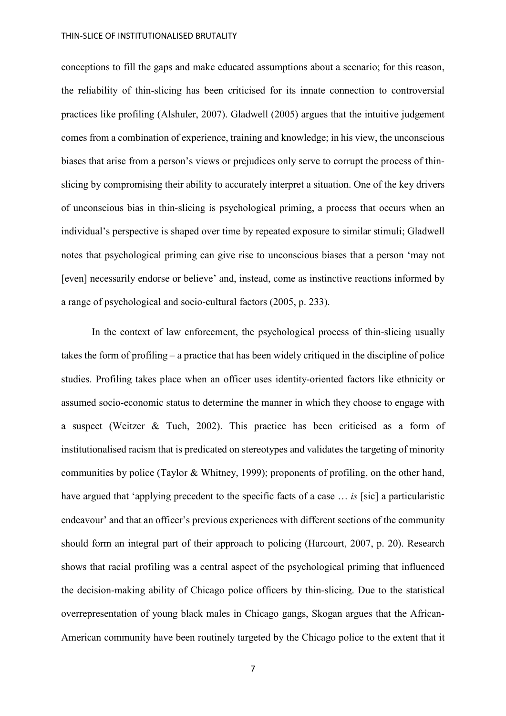conceptions to fill the gaps and make educated assumptions about a scenario; for this reason, the reliability of thin-slicing has been criticised for its innate connection to controversial practices like profiling (Alshuler, 2007). Gladwell (2005) argues that the intuitive judgement comes from a combination of experience, training and knowledge; in his view, the unconscious biases that arise from a person's views or prejudices only serve to corrupt the process of thinslicing by compromising their ability to accurately interpret a situation. One of the key drivers of unconscious bias in thin-slicing is psychological priming, a process that occurs when an individual's perspective is shaped over time by repeated exposure to similar stimuli; Gladwell notes that psychological priming can give rise to unconscious biases that a person 'may not [even] necessarily endorse or believe' and, instead, come as instinctive reactions informed by a range of psychological and socio-cultural factors (2005, p. 233).

In the context of law enforcement, the psychological process of thin-slicing usually takes the form of profiling – a practice that has been widely critiqued in the discipline of police studies. Profiling takes place when an officer uses identity-oriented factors like ethnicity or assumed socio-economic status to determine the manner in which they choose to engage with a suspect (Weitzer & Tuch, 2002). This practice has been criticised as a form of institutionalised racism that is predicated on stereotypes and validates the targeting of minority communities by police (Taylor & Whitney, 1999); proponents of profiling, on the other hand, have argued that 'applying precedent to the specific facts of a case … *is* [sic] a particularistic endeavour' and that an officer's previous experiences with different sections of the community should form an integral part of their approach to policing (Harcourt, 2007, p. 20). Research shows that racial profiling was a central aspect of the psychological priming that influenced the decision-making ability of Chicago police officers by thin-slicing. Due to the statistical overrepresentation of young black males in Chicago gangs, Skogan argues that the African-American community have been routinely targeted by the Chicago police to the extent that it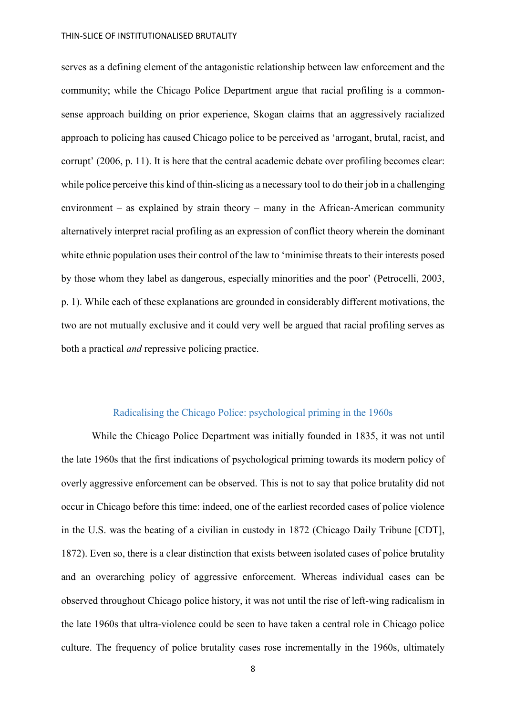serves as a defining element of the antagonistic relationship between law enforcement and the community; while the Chicago Police Department argue that racial profiling is a commonsense approach building on prior experience, Skogan claims that an aggressively racialized approach to policing has caused Chicago police to be perceived as 'arrogant, brutal, racist, and corrupt' (2006, p. 11). It is here that the central academic debate over profiling becomes clear: while police perceive this kind of thin-slicing as a necessary tool to do their job in a challenging environment – as explained by strain theory – many in the African-American community alternatively interpret racial profiling as an expression of conflict theory wherein the dominant white ethnic population uses their control of the law to 'minimise threats to their interests posed by those whom they label as dangerous, especially minorities and the poor' (Petrocelli, 2003, p. 1). While each of these explanations are grounded in considerably different motivations, the two are not mutually exclusive and it could very well be argued that racial profiling serves as both a practical *and* repressive policing practice.

#### Radicalising the Chicago Police: psychological priming in the 1960s

While the Chicago Police Department was initially founded in 1835, it was not until the late 1960s that the first indications of psychological priming towards its modern policy of overly aggressive enforcement can be observed. This is not to say that police brutality did not occur in Chicago before this time: indeed, one of the earliest recorded cases of police violence in the U.S. was the beating of a civilian in custody in 1872 (Chicago Daily Tribune [CDT], 1872). Even so, there is a clear distinction that exists between isolated cases of police brutality and an overarching policy of aggressive enforcement. Whereas individual cases can be observed throughout Chicago police history, it was not until the rise of left-wing radicalism in the late 1960s that ultra-violence could be seen to have taken a central role in Chicago police culture. The frequency of police brutality cases rose incrementally in the 1960s, ultimately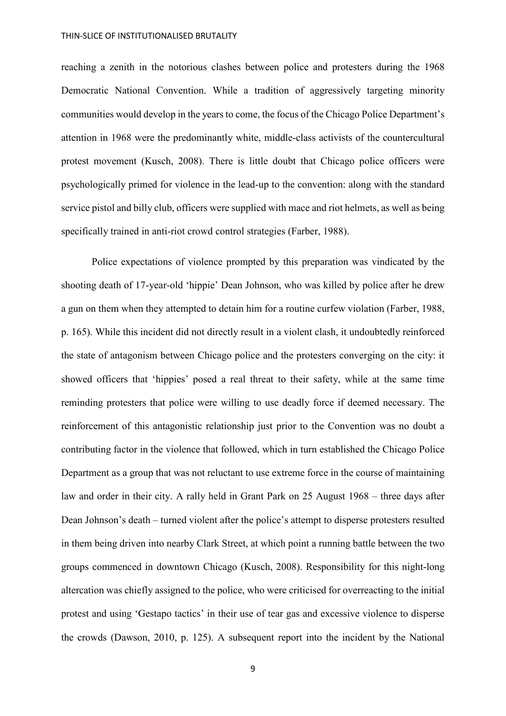reaching a zenith in the notorious clashes between police and protesters during the 1968 Democratic National Convention. While a tradition of aggressively targeting minority communities would develop in the years to come, the focus of the Chicago Police Department's attention in 1968 were the predominantly white, middle-class activists of the countercultural protest movement (Kusch, 2008). There is little doubt that Chicago police officers were psychologically primed for violence in the lead-up to the convention: along with the standard service pistol and billy club, officers were supplied with mace and riot helmets, as well as being specifically trained in anti-riot crowd control strategies (Farber, 1988).

Police expectations of violence prompted by this preparation was vindicated by the shooting death of 17-year-old 'hippie' Dean Johnson, who was killed by police after he drew a gun on them when they attempted to detain him for a routine curfew violation (Farber, 1988, p. 165). While this incident did not directly result in a violent clash, it undoubtedly reinforced the state of antagonism between Chicago police and the protesters converging on the city: it showed officers that 'hippies' posed a real threat to their safety, while at the same time reminding protesters that police were willing to use deadly force if deemed necessary. The reinforcement of this antagonistic relationship just prior to the Convention was no doubt a contributing factor in the violence that followed, which in turn established the Chicago Police Department as a group that was not reluctant to use extreme force in the course of maintaining law and order in their city. A rally held in Grant Park on 25 August 1968 – three days after Dean Johnson's death – turned violent after the police's attempt to disperse protesters resulted in them being driven into nearby Clark Street, at which point a running battle between the two groups commenced in downtown Chicago (Kusch, 2008). Responsibility for this night-long altercation was chiefly assigned to the police, who were criticised for overreacting to the initial protest and using 'Gestapo tactics' in their use of tear gas and excessive violence to disperse the crowds (Dawson, 2010, p. 125). A subsequent report into the incident by the National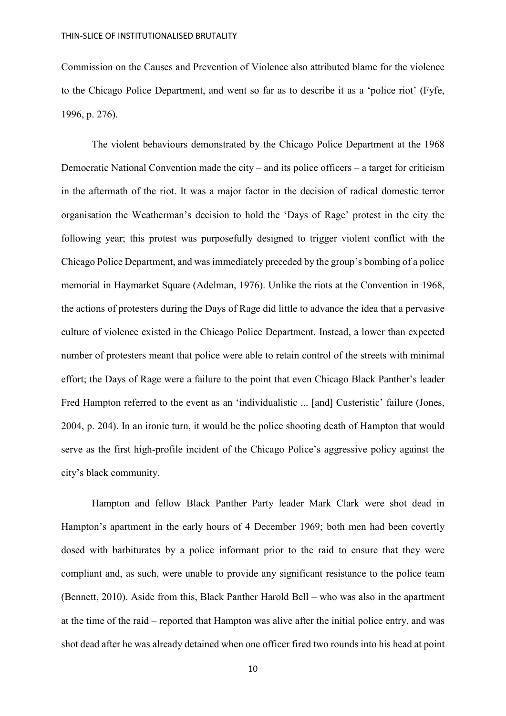Commission on the Causes and Prevention of Violence also attributed blame for the violence to the Chicago Police Department, and went so far as to describe it as a 'police riot' (Fyfe, 1996, p. 276).

The violent behaviours demonstrated by the Chicago Police Department at the 1968 Democratic National Convention made the city – and its police officers – a target for criticism in the aftermath of the riot. It was a major factor in the decision of radical domestic terror organisation the Weatherman's decision to hold the 'Days of Rage' protest in the city the following year; this protest was purposefully designed to trigger violent conflict with the Chicago Police Department, and was immediately preceded by the group's bombing of a police memorial in Haymarket Square (Adelman, 1976). Unlike the riots at the Convention in 1968, the actions of protesters during the Days of Rage did little to advance the idea that a pervasive culture of violence existed in the Chicago Police Department. Instead, a lower than expected number of protesters meant that police were able to retain control of the streets with minimal effort; the Days of Rage were a failure to the point that even Chicago Black Panther's leader Fred Hampton referred to the event as an 'individualistic ... [and] Custeristic' failure (Jones, 2004, p. 204). In an ironic turn, it would be the police shooting death of Hampton that would serve as the first high-profile incident of the Chicago Police's aggressive policy against the city's black community.

Hampton and fellow Black Panther Party leader Mark Clark were shot dead in Hampton's apartment in the early hours of 4 December 1969; both men had been covertly dosed with barbiturates by a police informant prior to the raid to ensure that they were compliant and, as such, were unable to provide any significant resistance to the police team (Bennett, 2010). Aside from this, Black Panther Harold Bell – who was also in the apartment at the time of the raid – reported that Hampton was alive after the initial police entry, and was shot dead after he was already detained when one officer fired two rounds into his head at point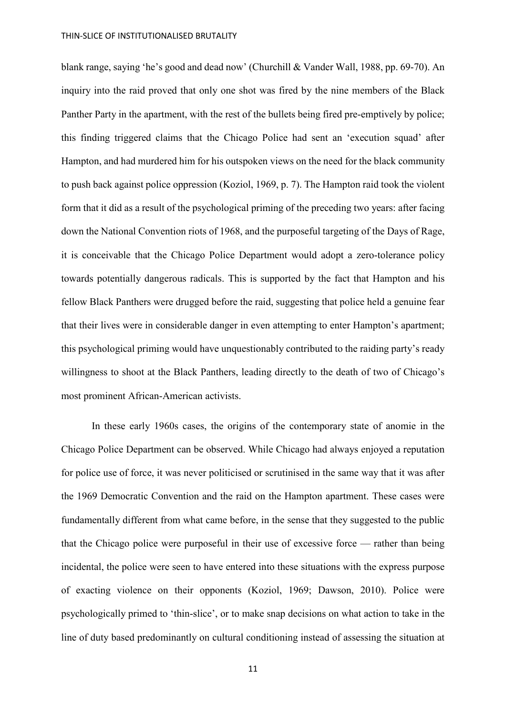blank range, saying 'he's good and dead now' (Churchill & Vander Wall, 1988, pp. 69-70). An inquiry into the raid proved that only one shot was fired by the nine members of the Black Panther Party in the apartment, with the rest of the bullets being fired pre-emptively by police; this finding triggered claims that the Chicago Police had sent an 'execution squad' after Hampton, and had murdered him for his outspoken views on the need for the black community to push back against police oppression (Koziol, 1969, p. 7). The Hampton raid took the violent form that it did as a result of the psychological priming of the preceding two years: after facing down the National Convention riots of 1968, and the purposeful targeting of the Days of Rage, it is conceivable that the Chicago Police Department would adopt a zero-tolerance policy towards potentially dangerous radicals. This is supported by the fact that Hampton and his fellow Black Panthers were drugged before the raid, suggesting that police held a genuine fear that their lives were in considerable danger in even attempting to enter Hampton's apartment; this psychological priming would have unquestionably contributed to the raiding party's ready willingness to shoot at the Black Panthers, leading directly to the death of two of Chicago's most prominent African-American activists.

In these early 1960s cases, the origins of the contemporary state of anomie in the Chicago Police Department can be observed. While Chicago had always enjoyed a reputation for police use of force, it was never politicised or scrutinised in the same way that it was after the 1969 Democratic Convention and the raid on the Hampton apartment. These cases were fundamentally different from what came before, in the sense that they suggested to the public that the Chicago police were purposeful in their use of excessive force — rather than being incidental, the police were seen to have entered into these situations with the express purpose of exacting violence on their opponents (Koziol, 1969; Dawson, 2010). Police were psychologically primed to 'thin-slice', or to make snap decisions on what action to take in the line of duty based predominantly on cultural conditioning instead of assessing the situation at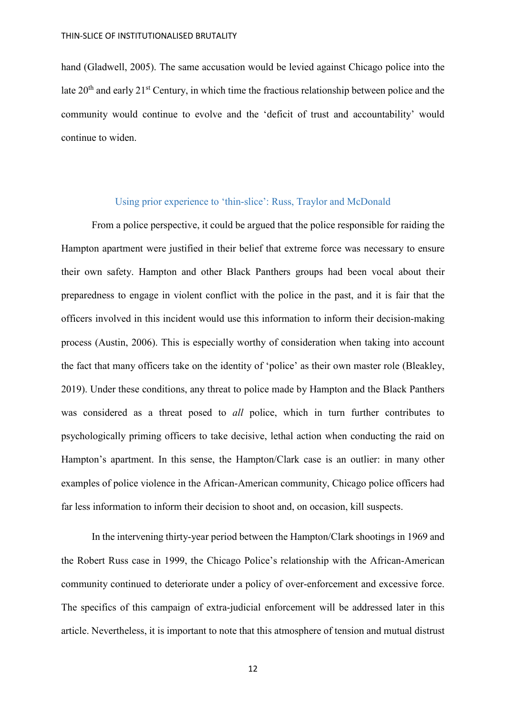hand (Gladwell, 2005). The same accusation would be levied against Chicago police into the late  $20<sup>th</sup>$  and early  $21<sup>st</sup>$  Century, in which time the fractious relationship between police and the community would continue to evolve and the 'deficit of trust and accountability' would continue to widen.

## Using prior experience to 'thin-slice': Russ, Traylor and McDonald

From a police perspective, it could be argued that the police responsible for raiding the Hampton apartment were justified in their belief that extreme force was necessary to ensure their own safety. Hampton and other Black Panthers groups had been vocal about their preparedness to engage in violent conflict with the police in the past, and it is fair that the officers involved in this incident would use this information to inform their decision-making process (Austin, 2006). This is especially worthy of consideration when taking into account the fact that many officers take on the identity of 'police' as their own master role (Bleakley, 2019). Under these conditions, any threat to police made by Hampton and the Black Panthers was considered as a threat posed to *all* police, which in turn further contributes to psychologically priming officers to take decisive, lethal action when conducting the raid on Hampton's apartment. In this sense, the Hampton/Clark case is an outlier: in many other examples of police violence in the African-American community, Chicago police officers had far less information to inform their decision to shoot and, on occasion, kill suspects.

In the intervening thirty-year period between the Hampton/Clark shootings in 1969 and the Robert Russ case in 1999, the Chicago Police's relationship with the African-American community continued to deteriorate under a policy of over-enforcement and excessive force. The specifics of this campaign of extra-judicial enforcement will be addressed later in this article. Nevertheless, it is important to note that this atmosphere of tension and mutual distrust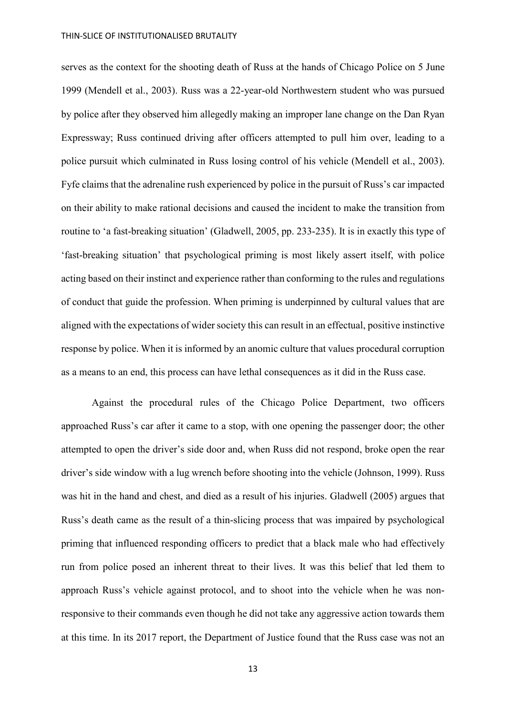serves as the context for the shooting death of Russ at the hands of Chicago Police on 5 June 1999 (Mendell et al., 2003). Russ was a 22-year-old Northwestern student who was pursued by police after they observed him allegedly making an improper lane change on the Dan Ryan Expressway; Russ continued driving after officers attempted to pull him over, leading to a police pursuit which culminated in Russ losing control of his vehicle (Mendell et al., 2003). Fyfe claims that the adrenaline rush experienced by police in the pursuit of Russ's car impacted on their ability to make rational decisions and caused the incident to make the transition from routine to 'a fast-breaking situation' (Gladwell, 2005, pp. 233-235). It is in exactly this type of 'fast-breaking situation' that psychological priming is most likely assert itself, with police acting based on their instinct and experience rather than conforming to the rules and regulations of conduct that guide the profession. When priming is underpinned by cultural values that are aligned with the expectations of wider society this can result in an effectual, positive instinctive response by police. When it is informed by an anomic culture that values procedural corruption as a means to an end, this process can have lethal consequences as it did in the Russ case.

Against the procedural rules of the Chicago Police Department, two officers approached Russ's car after it came to a stop, with one opening the passenger door; the other attempted to open the driver's side door and, when Russ did not respond, broke open the rear driver's side window with a lug wrench before shooting into the vehicle (Johnson, 1999). Russ was hit in the hand and chest, and died as a result of his injuries. Gladwell (2005) argues that Russ's death came as the result of a thin-slicing process that was impaired by psychological priming that influenced responding officers to predict that a black male who had effectively run from police posed an inherent threat to their lives. It was this belief that led them to approach Russ's vehicle against protocol, and to shoot into the vehicle when he was nonresponsive to their commands even though he did not take any aggressive action towards them at this time. In its 2017 report, the Department of Justice found that the Russ case was not an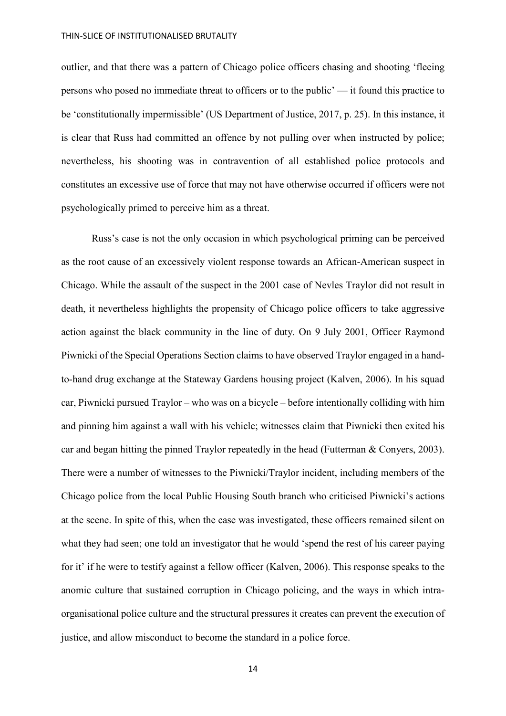outlier, and that there was a pattern of Chicago police officers chasing and shooting 'fleeing persons who posed no immediate threat to officers or to the public' — it found this practice to be 'constitutionally impermissible' (US Department of Justice, 2017, p. 25). In this instance, it is clear that Russ had committed an offence by not pulling over when instructed by police; nevertheless, his shooting was in contravention of all established police protocols and constitutes an excessive use of force that may not have otherwise occurred if officers were not psychologically primed to perceive him as a threat.

Russ's case is not the only occasion in which psychological priming can be perceived as the root cause of an excessively violent response towards an African-American suspect in Chicago. While the assault of the suspect in the 2001 case of Nevles Traylor did not result in death, it nevertheless highlights the propensity of Chicago police officers to take aggressive action against the black community in the line of duty. On 9 July 2001, Officer Raymond Piwnicki of the Special Operations Section claims to have observed Traylor engaged in a handto-hand drug exchange at the Stateway Gardens housing project (Kalven, 2006). In his squad car, Piwnicki pursued Traylor – who was on a bicycle – before intentionally colliding with him and pinning him against a wall with his vehicle; witnesses claim that Piwnicki then exited his car and began hitting the pinned Traylor repeatedly in the head (Futterman & Conyers, 2003). There were a number of witnesses to the Piwnicki/Traylor incident, including members of the Chicago police from the local Public Housing South branch who criticised Piwnicki's actions at the scene. In spite of this, when the case was investigated, these officers remained silent on what they had seen; one told an investigator that he would 'spend the rest of his career paying for it' if he were to testify against a fellow officer (Kalven, 2006). This response speaks to the anomic culture that sustained corruption in Chicago policing, and the ways in which intraorganisational police culture and the structural pressures it creates can prevent the execution of justice, and allow misconduct to become the standard in a police force.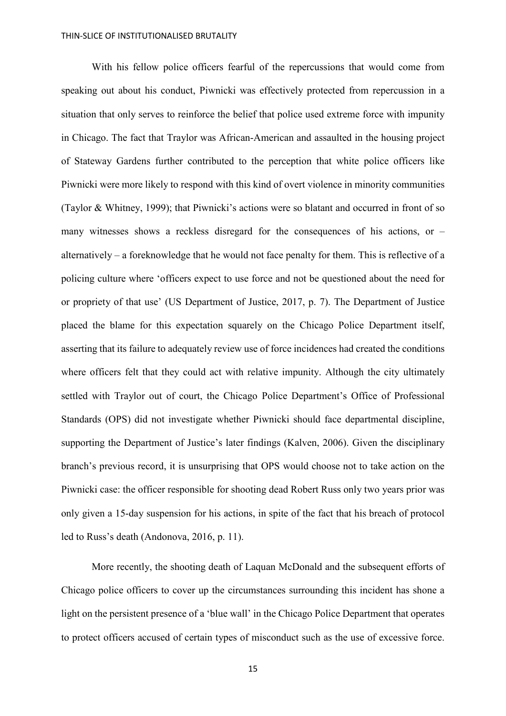With his fellow police officers fearful of the repercussions that would come from speaking out about his conduct, Piwnicki was effectively protected from repercussion in a situation that only serves to reinforce the belief that police used extreme force with impunity in Chicago. The fact that Traylor was African-American and assaulted in the housing project of Stateway Gardens further contributed to the perception that white police officers like Piwnicki were more likely to respond with this kind of overt violence in minority communities (Taylor & Whitney, 1999); that Piwnicki's actions were so blatant and occurred in front of so many witnesses shows a reckless disregard for the consequences of his actions, or – alternatively – a foreknowledge that he would not face penalty for them. This is reflective of a policing culture where 'officers expect to use force and not be questioned about the need for or propriety of that use' (US Department of Justice, 2017, p. 7). The Department of Justice placed the blame for this expectation squarely on the Chicago Police Department itself, asserting that its failure to adequately review use of force incidences had created the conditions where officers felt that they could act with relative impunity. Although the city ultimately settled with Traylor out of court, the Chicago Police Department's Office of Professional Standards (OPS) did not investigate whether Piwnicki should face departmental discipline, supporting the Department of Justice's later findings (Kalven, 2006). Given the disciplinary branch's previous record, it is unsurprising that OPS would choose not to take action on the Piwnicki case: the officer responsible for shooting dead Robert Russ only two years prior was only given a 15-day suspension for his actions, in spite of the fact that his breach of protocol led to Russ's death (Andonova, 2016, p. 11).

More recently, the shooting death of Laquan McDonald and the subsequent efforts of Chicago police officers to cover up the circumstances surrounding this incident has shone a light on the persistent presence of a 'blue wall' in the Chicago Police Department that operates to protect officers accused of certain types of misconduct such as the use of excessive force.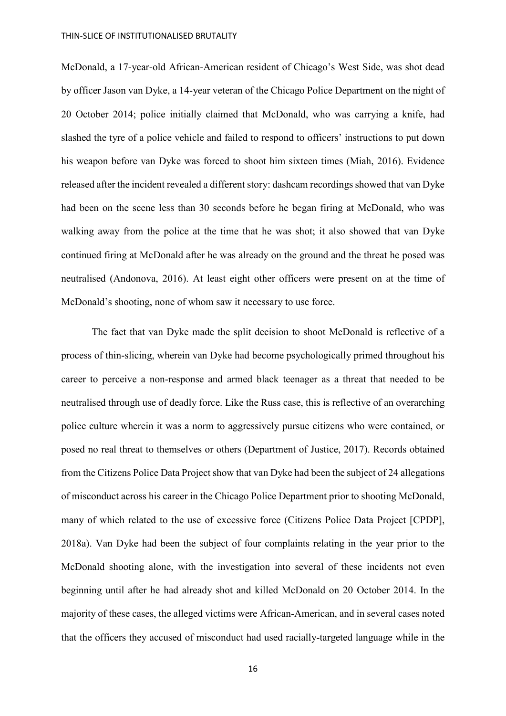McDonald, a 17-year-old African-American resident of Chicago's West Side, was shot dead by officer Jason van Dyke, a 14-year veteran of the Chicago Police Department on the night of 20 October 2014; police initially claimed that McDonald, who was carrying a knife, had slashed the tyre of a police vehicle and failed to respond to officers' instructions to put down his weapon before van Dyke was forced to shoot him sixteen times (Miah, 2016). Evidence released after the incident revealed a different story: dashcam recordings showed that van Dyke had been on the scene less than 30 seconds before he began firing at McDonald, who was walking away from the police at the time that he was shot; it also showed that van Dyke continued firing at McDonald after he was already on the ground and the threat he posed was neutralised (Andonova, 2016). At least eight other officers were present on at the time of McDonald's shooting, none of whom saw it necessary to use force.

The fact that van Dyke made the split decision to shoot McDonald is reflective of a process of thin-slicing, wherein van Dyke had become psychologically primed throughout his career to perceive a non-response and armed black teenager as a threat that needed to be neutralised through use of deadly force. Like the Russ case, this is reflective of an overarching police culture wherein it was a norm to aggressively pursue citizens who were contained, or posed no real threat to themselves or others (Department of Justice, 2017). Records obtained from the Citizens Police Data Project show that van Dyke had been the subject of 24 allegations of misconduct across his career in the Chicago Police Department prior to shooting McDonald, many of which related to the use of excessive force (Citizens Police Data Project [CPDP], 2018a). Van Dyke had been the subject of four complaints relating in the year prior to the McDonald shooting alone, with the investigation into several of these incidents not even beginning until after he had already shot and killed McDonald on 20 October 2014. In the majority of these cases, the alleged victims were African-American, and in several cases noted that the officers they accused of misconduct had used racially-targeted language while in the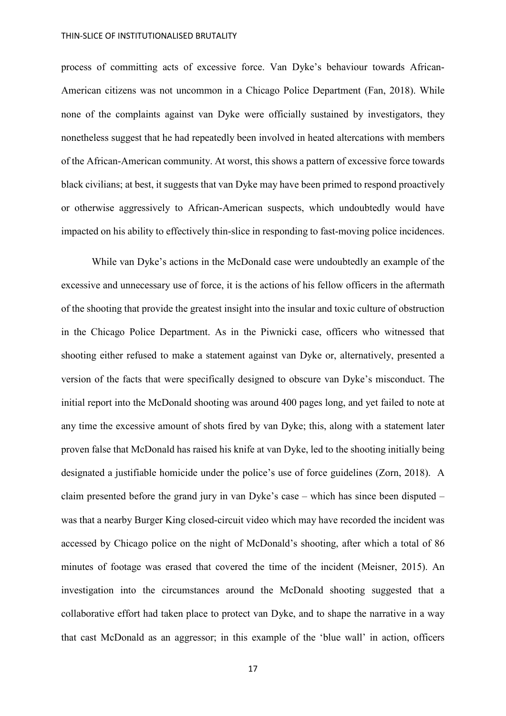process of committing acts of excessive force. Van Dyke's behaviour towards African-American citizens was not uncommon in a Chicago Police Department (Fan, 2018). While none of the complaints against van Dyke were officially sustained by investigators, they nonetheless suggest that he had repeatedly been involved in heated altercations with members of the African-American community. At worst, this shows a pattern of excessive force towards black civilians; at best, it suggests that van Dyke may have been primed to respond proactively or otherwise aggressively to African-American suspects, which undoubtedly would have impacted on his ability to effectively thin-slice in responding to fast-moving police incidences.

While van Dyke's actions in the McDonald case were undoubtedly an example of the excessive and unnecessary use of force, it is the actions of his fellow officers in the aftermath of the shooting that provide the greatest insight into the insular and toxic culture of obstruction in the Chicago Police Department. As in the Piwnicki case, officers who witnessed that shooting either refused to make a statement against van Dyke or, alternatively, presented a version of the facts that were specifically designed to obscure van Dyke's misconduct. The initial report into the McDonald shooting was around 400 pages long, and yet failed to note at any time the excessive amount of shots fired by van Dyke; this, along with a statement later proven false that McDonald has raised his knife at van Dyke, led to the shooting initially being designated a justifiable homicide under the police's use of force guidelines (Zorn, 2018). A claim presented before the grand jury in van Dyke's case – which has since been disputed – was that a nearby Burger King closed-circuit video which may have recorded the incident was accessed by Chicago police on the night of McDonald's shooting, after which a total of 86 minutes of footage was erased that covered the time of the incident (Meisner, 2015). An investigation into the circumstances around the McDonald shooting suggested that a collaborative effort had taken place to protect van Dyke, and to shape the narrative in a way that cast McDonald as an aggressor; in this example of the 'blue wall' in action, officers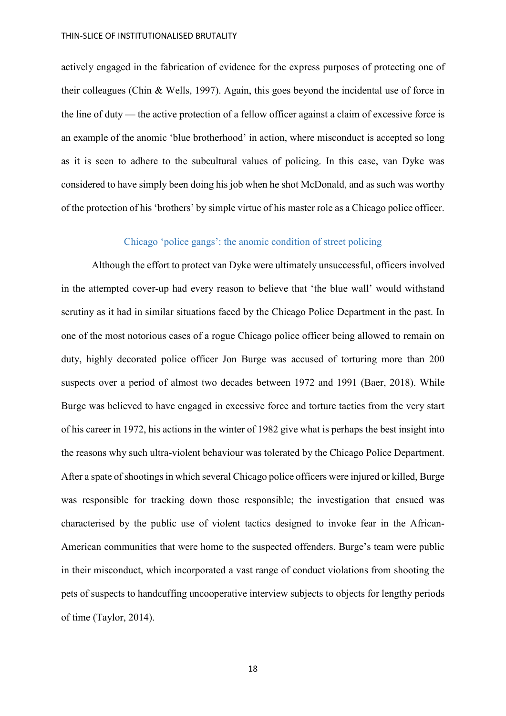actively engaged in the fabrication of evidence for the express purposes of protecting one of their colleagues (Chin & Wells, 1997). Again, this goes beyond the incidental use of force in the line of duty — the active protection of a fellow officer against a claim of excessive force is an example of the anomic 'blue brotherhood' in action, where misconduct is accepted so long as it is seen to adhere to the subcultural values of policing. In this case, van Dyke was considered to have simply been doing his job when he shot McDonald, and as such was worthy of the protection of his 'brothers' by simple virtue of his master role as a Chicago police officer.

## Chicago 'police gangs': the anomic condition of street policing

Although the effort to protect van Dyke were ultimately unsuccessful, officers involved in the attempted cover-up had every reason to believe that 'the blue wall' would withstand scrutiny as it had in similar situations faced by the Chicago Police Department in the past. In one of the most notorious cases of a rogue Chicago police officer being allowed to remain on duty, highly decorated police officer Jon Burge was accused of torturing more than 200 suspects over a period of almost two decades between 1972 and 1991 (Baer, 2018). While Burge was believed to have engaged in excessive force and torture tactics from the very start of his career in 1972, his actions in the winter of 1982 give what is perhaps the best insight into the reasons why such ultra-violent behaviour was tolerated by the Chicago Police Department. After a spate of shootings in which several Chicago police officers were injured or killed, Burge was responsible for tracking down those responsible; the investigation that ensued was characterised by the public use of violent tactics designed to invoke fear in the African-American communities that were home to the suspected offenders. Burge's team were public in their misconduct, which incorporated a vast range of conduct violations from shooting the pets of suspects to handcuffing uncooperative interview subjects to objects for lengthy periods of time (Taylor, 2014).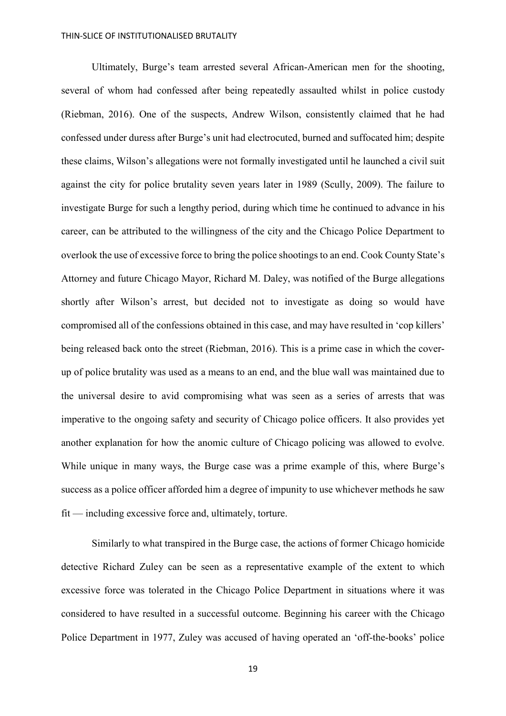Ultimately, Burge's team arrested several African-American men for the shooting, several of whom had confessed after being repeatedly assaulted whilst in police custody (Riebman, 2016). One of the suspects, Andrew Wilson, consistently claimed that he had confessed under duress after Burge's unit had electrocuted, burned and suffocated him; despite these claims, Wilson's allegations were not formally investigated until he launched a civil suit against the city for police brutality seven years later in 1989 (Scully, 2009). The failure to investigate Burge for such a lengthy period, during which time he continued to advance in his career, can be attributed to the willingness of the city and the Chicago Police Department to overlook the use of excessive force to bring the police shootings to an end. Cook County State's Attorney and future Chicago Mayor, Richard M. Daley, was notified of the Burge allegations shortly after Wilson's arrest, but decided not to investigate as doing so would have compromised all of the confessions obtained in this case, and may have resulted in 'cop killers' being released back onto the street (Riebman, 2016). This is a prime case in which the coverup of police brutality was used as a means to an end, and the blue wall was maintained due to the universal desire to avid compromising what was seen as a series of arrests that was imperative to the ongoing safety and security of Chicago police officers. It also provides yet another explanation for how the anomic culture of Chicago policing was allowed to evolve. While unique in many ways, the Burge case was a prime example of this, where Burge's success as a police officer afforded him a degree of impunity to use whichever methods he saw fit — including excessive force and, ultimately, torture.

Similarly to what transpired in the Burge case, the actions of former Chicago homicide detective Richard Zuley can be seen as a representative example of the extent to which excessive force was tolerated in the Chicago Police Department in situations where it was considered to have resulted in a successful outcome. Beginning his career with the Chicago Police Department in 1977, Zuley was accused of having operated an 'off-the-books' police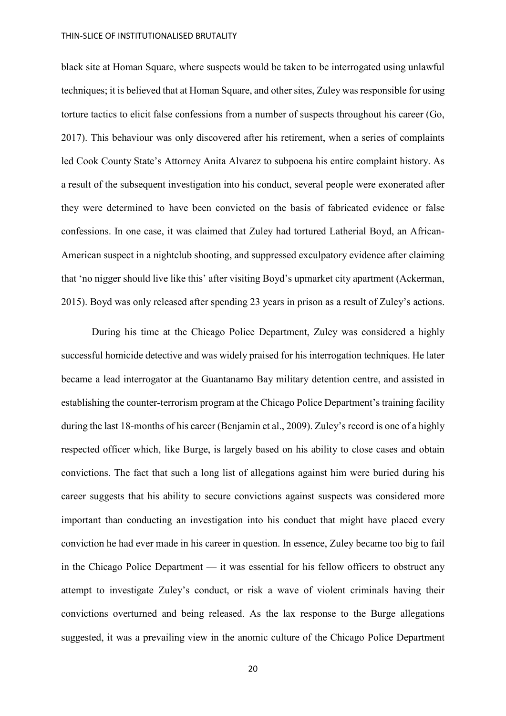black site at Homan Square, where suspects would be taken to be interrogated using unlawful techniques; it is believed that at Homan Square, and other sites, Zuley was responsible for using torture tactics to elicit false confessions from a number of suspects throughout his career (Go, 2017). This behaviour was only discovered after his retirement, when a series of complaints led Cook County State's Attorney Anita Alvarez to subpoena his entire complaint history. As a result of the subsequent investigation into his conduct, several people were exonerated after they were determined to have been convicted on the basis of fabricated evidence or false confessions. In one case, it was claimed that Zuley had tortured Latherial Boyd, an African-American suspect in a nightclub shooting, and suppressed exculpatory evidence after claiming that 'no nigger should live like this' after visiting Boyd's upmarket city apartment (Ackerman, 2015). Boyd was only released after spending 23 years in prison as a result of Zuley's actions.

During his time at the Chicago Police Department, Zuley was considered a highly successful homicide detective and was widely praised for his interrogation techniques. He later became a lead interrogator at the Guantanamo Bay military detention centre, and assisted in establishing the counter-terrorism program at the Chicago Police Department's training facility during the last 18-months of his career (Benjamin et al., 2009). Zuley's record is one of a highly respected officer which, like Burge, is largely based on his ability to close cases and obtain convictions. The fact that such a long list of allegations against him were buried during his career suggests that his ability to secure convictions against suspects was considered more important than conducting an investigation into his conduct that might have placed every conviction he had ever made in his career in question. In essence, Zuley became too big to fail in the Chicago Police Department — it was essential for his fellow officers to obstruct any attempt to investigate Zuley's conduct, or risk a wave of violent criminals having their convictions overturned and being released. As the lax response to the Burge allegations suggested, it was a prevailing view in the anomic culture of the Chicago Police Department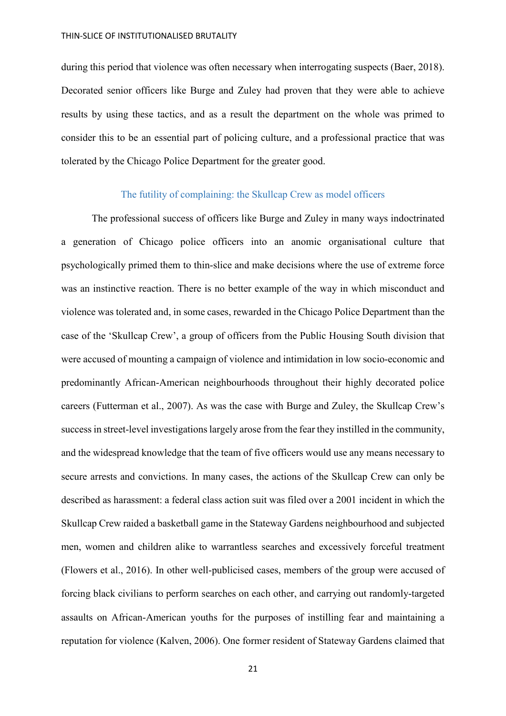during this period that violence was often necessary when interrogating suspects (Baer, 2018). Decorated senior officers like Burge and Zuley had proven that they were able to achieve results by using these tactics, and as a result the department on the whole was primed to consider this to be an essential part of policing culture, and a professional practice that was tolerated by the Chicago Police Department for the greater good.

## The futility of complaining: the Skullcap Crew as model officers

The professional success of officers like Burge and Zuley in many ways indoctrinated a generation of Chicago police officers into an anomic organisational culture that psychologically primed them to thin-slice and make decisions where the use of extreme force was an instinctive reaction. There is no better example of the way in which misconduct and violence was tolerated and, in some cases, rewarded in the Chicago Police Department than the case of the 'Skullcap Crew', a group of officers from the Public Housing South division that were accused of mounting a campaign of violence and intimidation in low socio-economic and predominantly African-American neighbourhoods throughout their highly decorated police careers (Futterman et al., 2007). As was the case with Burge and Zuley, the Skullcap Crew's success in street-level investigations largely arose from the fear they instilled in the community, and the widespread knowledge that the team of five officers would use any means necessary to secure arrests and convictions. In many cases, the actions of the Skullcap Crew can only be described as harassment: a federal class action suit was filed over a 2001 incident in which the Skullcap Crew raided a basketball game in the Stateway Gardens neighbourhood and subjected men, women and children alike to warrantless searches and excessively forceful treatment (Flowers et al., 2016). In other well-publicised cases, members of the group were accused of forcing black civilians to perform searches on each other, and carrying out randomly-targeted assaults on African-American youths for the purposes of instilling fear and maintaining a reputation for violence (Kalven, 2006). One former resident of Stateway Gardens claimed that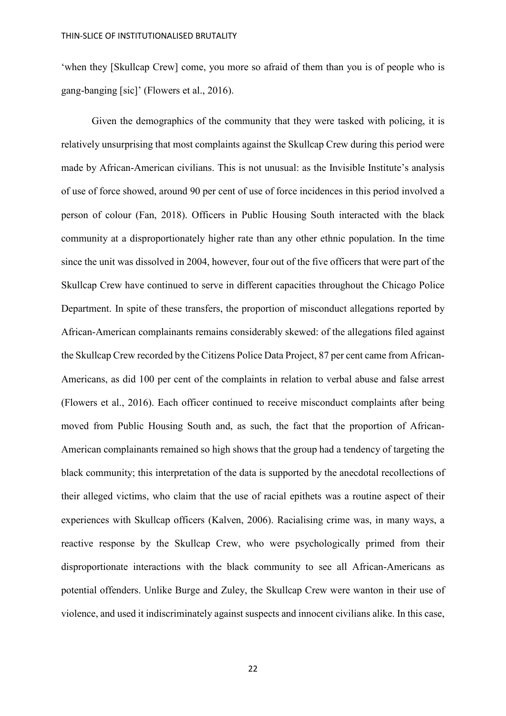'when they [Skullcap Crew] come, you more so afraid of them than you is of people who is gang-banging [sic]' (Flowers et al., 2016).

Given the demographics of the community that they were tasked with policing, it is relatively unsurprising that most complaints against the Skullcap Crew during this period were made by African-American civilians. This is not unusual: as the Invisible Institute's analysis of use of force showed, around 90 per cent of use of force incidences in this period involved a person of colour (Fan, 2018). Officers in Public Housing South interacted with the black community at a disproportionately higher rate than any other ethnic population. In the time since the unit was dissolved in 2004, however, four out of the five officers that were part of the Skullcap Crew have continued to serve in different capacities throughout the Chicago Police Department. In spite of these transfers, the proportion of misconduct allegations reported by African-American complainants remains considerably skewed: of the allegations filed against the Skullcap Crew recorded by the Citizens Police Data Project, 87 per cent came from African-Americans, as did 100 per cent of the complaints in relation to verbal abuse and false arrest (Flowers et al., 2016). Each officer continued to receive misconduct complaints after being moved from Public Housing South and, as such, the fact that the proportion of African-American complainants remained so high shows that the group had a tendency of targeting the black community; this interpretation of the data is supported by the anecdotal recollections of their alleged victims, who claim that the use of racial epithets was a routine aspect of their experiences with Skullcap officers (Kalven, 2006). Racialising crime was, in many ways, a reactive response by the Skullcap Crew, who were psychologically primed from their disproportionate interactions with the black community to see all African-Americans as potential offenders. Unlike Burge and Zuley, the Skullcap Crew were wanton in their use of violence, and used it indiscriminately against suspects and innocent civilians alike. In this case,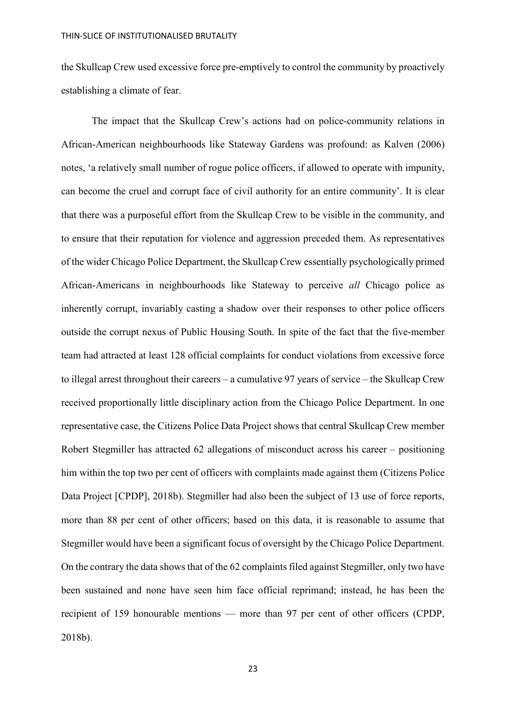the Skullcap Crew used excessive force pre-emptively to control the community by proactively establishing a climate of fear.

The impact that the Skullcap Crew's actions had on police-community relations in African-American neighbourhoods like Stateway Gardens was profound: as Kalven (2006) notes, 'a relatively small number of rogue police officers, if allowed to operate with impunity, can become the cruel and corrupt face of civil authority for an entire community'. It is clear that there was a purposeful effort from the Skullcap Crew to be visible in the community, and to ensure that their reputation for violence and aggression preceded them. As representatives of the wider Chicago Police Department, the Skullcap Crew essentially psychologically primed African-Americans in neighbourhoods like Stateway to perceive *all* Chicago police as inherently corrupt, invariably casting a shadow over their responses to other police officers outside the corrupt nexus of Public Housing South. In spite of the fact that the five-member team had attracted at least 128 official complaints for conduct violations from excessive force to illegal arrest throughout their careers – a cumulative 97 years of service – the Skullcap Crew received proportionally little disciplinary action from the Chicago Police Department. In one representative case, the Citizens Police Data Project shows that central Skullcap Crew member Robert Stegmiller has attracted 62 allegations of misconduct across his career – positioning him within the top two per cent of officers with complaints made against them (Citizens Police Data Project [CPDP], 2018b). Stegmiller had also been the subject of 13 use of force reports, more than 88 per cent of other officers; based on this data, it is reasonable to assume that Stegmiller would have been a significant focus of oversight by the Chicago Police Department. On the contrary the data shows that of the 62 complaints filed against Stegmiller, only two have been sustained and none have seen him face official reprimand; instead, he has been the recipient of 159 honourable mentions — more than 97 per cent of other officers (CPDP, 2018b).

23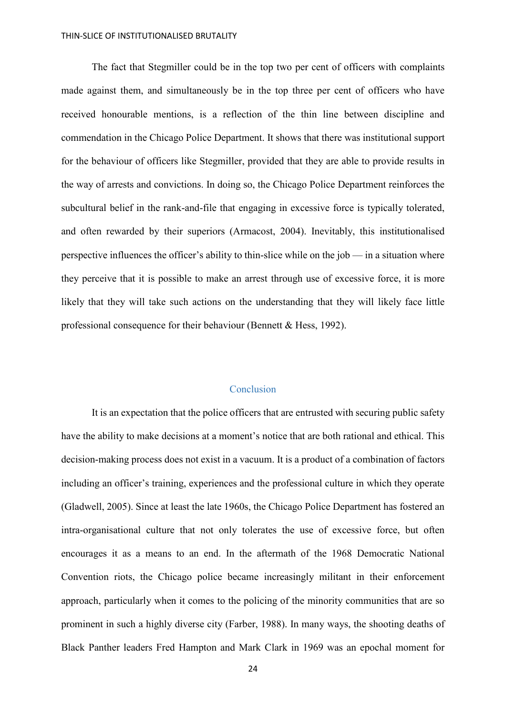The fact that Stegmiller could be in the top two per cent of officers with complaints made against them, and simultaneously be in the top three per cent of officers who have received honourable mentions, is a reflection of the thin line between discipline and commendation in the Chicago Police Department. It shows that there was institutional support for the behaviour of officers like Stegmiller, provided that they are able to provide results in the way of arrests and convictions. In doing so, the Chicago Police Department reinforces the subcultural belief in the rank-and-file that engaging in excessive force is typically tolerated, and often rewarded by their superiors (Armacost, 2004). Inevitably, this institutionalised perspective influences the officer's ability to thin-slice while on the job — in a situation where they perceive that it is possible to make an arrest through use of excessive force, it is more likely that they will take such actions on the understanding that they will likely face little professional consequence for their behaviour (Bennett & Hess, 1992).

## Conclusion

It is an expectation that the police officers that are entrusted with securing public safety have the ability to make decisions at a moment's notice that are both rational and ethical. This decision-making process does not exist in a vacuum. It is a product of a combination of factors including an officer's training, experiences and the professional culture in which they operate (Gladwell, 2005). Since at least the late 1960s, the Chicago Police Department has fostered an intra-organisational culture that not only tolerates the use of excessive force, but often encourages it as a means to an end. In the aftermath of the 1968 Democratic National Convention riots, the Chicago police became increasingly militant in their enforcement approach, particularly when it comes to the policing of the minority communities that are so prominent in such a highly diverse city (Farber, 1988). In many ways, the shooting deaths of Black Panther leaders Fred Hampton and Mark Clark in 1969 was an epochal moment for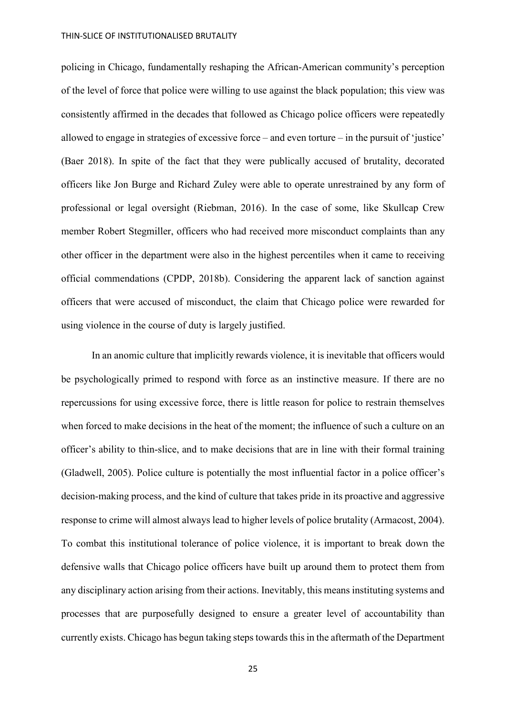policing in Chicago, fundamentally reshaping the African-American community's perception of the level of force that police were willing to use against the black population; this view was consistently affirmed in the decades that followed as Chicago police officers were repeatedly allowed to engage in strategies of excessive force – and even torture – in the pursuit of 'justice' (Baer 2018). In spite of the fact that they were publically accused of brutality, decorated officers like Jon Burge and Richard Zuley were able to operate unrestrained by any form of professional or legal oversight (Riebman, 2016). In the case of some, like Skullcap Crew member Robert Stegmiller, officers who had received more misconduct complaints than any other officer in the department were also in the highest percentiles when it came to receiving official commendations (CPDP, 2018b). Considering the apparent lack of sanction against officers that were accused of misconduct, the claim that Chicago police were rewarded for using violence in the course of duty is largely justified.

In an anomic culture that implicitly rewards violence, it is inevitable that officers would be psychologically primed to respond with force as an instinctive measure. If there are no repercussions for using excessive force, there is little reason for police to restrain themselves when forced to make decisions in the heat of the moment; the influence of such a culture on an officer's ability to thin-slice, and to make decisions that are in line with their formal training (Gladwell, 2005). Police culture is potentially the most influential factor in a police officer's decision-making process, and the kind of culture that takes pride in its proactive and aggressive response to crime will almost always lead to higher levels of police brutality (Armacost, 2004). To combat this institutional tolerance of police violence, it is important to break down the defensive walls that Chicago police officers have built up around them to protect them from any disciplinary action arising from their actions. Inevitably, this means instituting systems and processes that are purposefully designed to ensure a greater level of accountability than currently exists. Chicago has begun taking steps towards this in the aftermath of the Department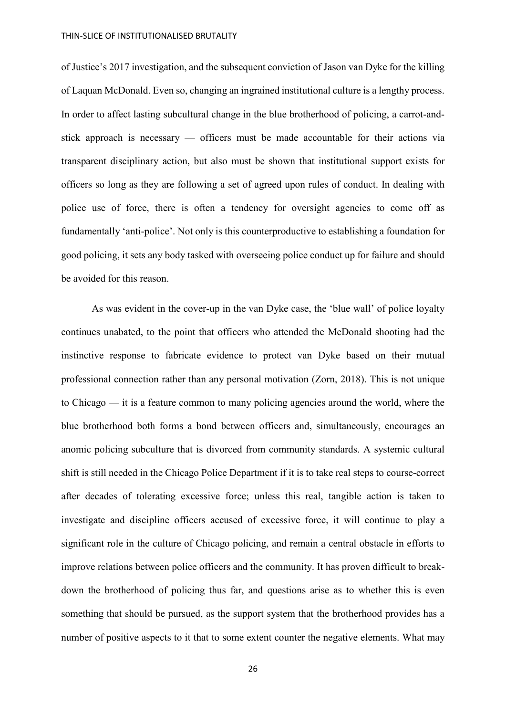of Justice's 2017 investigation, and the subsequent conviction of Jason van Dyke for the killing of Laquan McDonald. Even so, changing an ingrained institutional culture is a lengthy process. In order to affect lasting subcultural change in the blue brotherhood of policing, a carrot-andstick approach is necessary — officers must be made accountable for their actions via transparent disciplinary action, but also must be shown that institutional support exists for officers so long as they are following a set of agreed upon rules of conduct. In dealing with police use of force, there is often a tendency for oversight agencies to come off as fundamentally 'anti-police'. Not only is this counterproductive to establishing a foundation for good policing, it sets any body tasked with overseeing police conduct up for failure and should be avoided for this reason.

As was evident in the cover-up in the van Dyke case, the 'blue wall' of police loyalty continues unabated, to the point that officers who attended the McDonald shooting had the instinctive response to fabricate evidence to protect van Dyke based on their mutual professional connection rather than any personal motivation (Zorn, 2018). This is not unique to Chicago — it is a feature common to many policing agencies around the world, where the blue brotherhood both forms a bond between officers and, simultaneously, encourages an anomic policing subculture that is divorced from community standards. A systemic cultural shift is still needed in the Chicago Police Department if it is to take real steps to course-correct after decades of tolerating excessive force; unless this real, tangible action is taken to investigate and discipline officers accused of excessive force, it will continue to play a significant role in the culture of Chicago policing, and remain a central obstacle in efforts to improve relations between police officers and the community. It has proven difficult to breakdown the brotherhood of policing thus far, and questions arise as to whether this is even something that should be pursued, as the support system that the brotherhood provides has a number of positive aspects to it that to some extent counter the negative elements. What may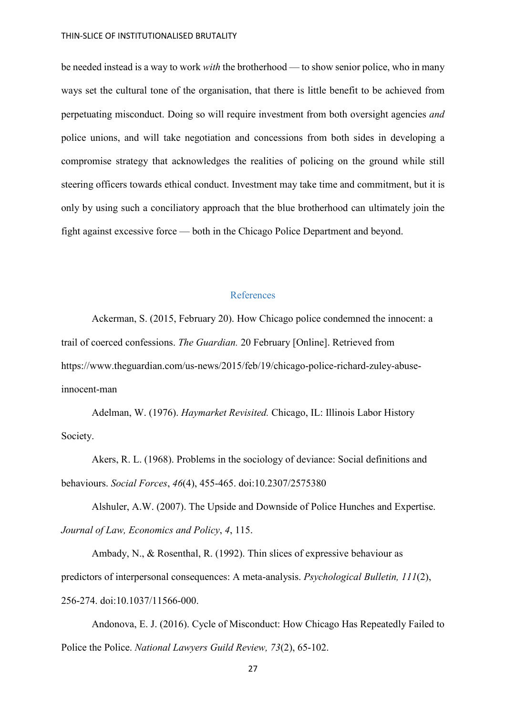be needed instead is a way to work *with* the brotherhood — to show senior police, who in many ways set the cultural tone of the organisation, that there is little benefit to be achieved from perpetuating misconduct. Doing so will require investment from both oversight agencies *and*  police unions, and will take negotiation and concessions from both sides in developing a compromise strategy that acknowledges the realities of policing on the ground while still steering officers towards ethical conduct. Investment may take time and commitment, but it is only by using such a conciliatory approach that the blue brotherhood can ultimately join the fight against excessive force — both in the Chicago Police Department and beyond.

## References

Ackerman, S. (2015, February 20). How Chicago police condemned the innocent: a trail of coerced confessions. *The Guardian.* 20 February [Online]. Retrieved from https://www.theguardian.com/us-news/2015/feb/19/chicago-police-richard-zuley-abuseinnocent-man

Adelman, W. (1976). *Haymarket Revisited.* Chicago, IL: Illinois Labor History Society.

Akers, R. L. (1968). Problems in the sociology of deviance: Social definitions and behaviours. *Social Forces*, *46*(4), 455-465. doi:10.2307/2575380

Alshuler, A.W. (2007). The Upside and Downside of Police Hunches and Expertise. *Journal of Law, Economics and Policy*, *4*, 115.

Ambady, N., & Rosenthal, R. (1992). Thin slices of expressive behaviour as predictors of interpersonal consequences: A meta-analysis. *Psychological Bulletin, 111*(2), 256-274. doi:10.1037/11566-000.

Andonova, E. J. (2016). Cycle of Misconduct: How Chicago Has Repeatedly Failed to Police the Police. *National Lawyers Guild Review, 73*(2), 65-102.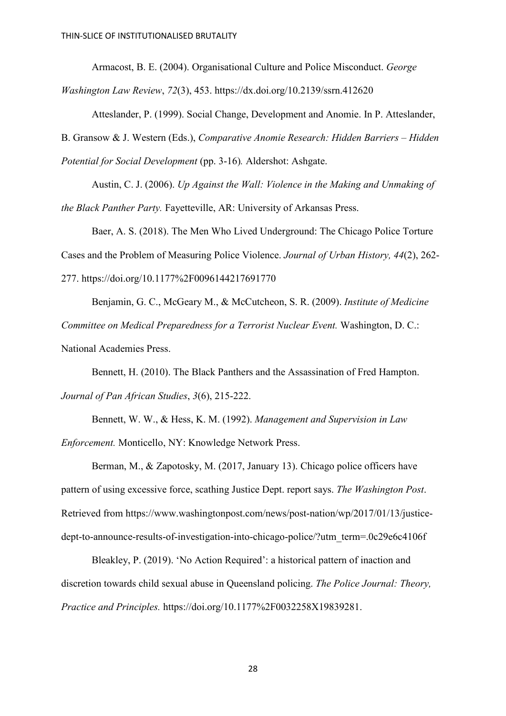Armacost, B. E. (2004). Organisational Culture and Police Misconduct. *George Washington Law Review*, *72*(3), 453. https://dx.doi.org/10.2139/ssrn.412620

Atteslander, P. (1999). Social Change, Development and Anomie. In P. Atteslander, B. Gransow & J. Western (Eds.), *Comparative Anomie Research: Hidden Barriers – Hidden Potential for Social Development* (pp. 3-16)*.* Aldershot: Ashgate.

Austin, C. J. (2006). *Up Against the Wall: Violence in the Making and Unmaking of the Black Panther Party.* Fayetteville, AR: University of Arkansas Press.

Baer, A. S. (2018). The Men Who Lived Underground: The Chicago Police Torture Cases and the Problem of Measuring Police Violence. *Journal of Urban History, 44*(2), 262- 277. https://doi.org/10.1177%2F0096144217691770

Benjamin, G. C., McGeary M., & McCutcheon, S. R. (2009). *Institute of Medicine Committee on Medical Preparedness for a Terrorist Nuclear Event.* Washington, D. C.: National Academies Press.

Bennett, H. (2010). The Black Panthers and the Assassination of Fred Hampton. *Journal of Pan African Studies*, *3*(6), 215-222.

Bennett, W. W., & Hess, K. M. (1992). *Management and Supervision in Law Enforcement.* Monticello, NY: Knowledge Network Press.

Berman, M., & Zapotosky, M. (2017, January 13). Chicago police officers have pattern of using excessive force, scathing Justice Dept. report says. *The Washington Post*. Retrieved from https://www.washingtonpost.com/news/post-nation/wp/2017/01/13/justicedept-to-announce-results-of-investigation-into-chicago-police/?utm\_term=.0c29e6c4106f

Bleakley, P. (2019). 'No Action Required': a historical pattern of inaction and discretion towards child sexual abuse in Queensland policing. *The Police Journal: Theory, Practice and Principles.* https://doi.org/10.1177%2F0032258X19839281.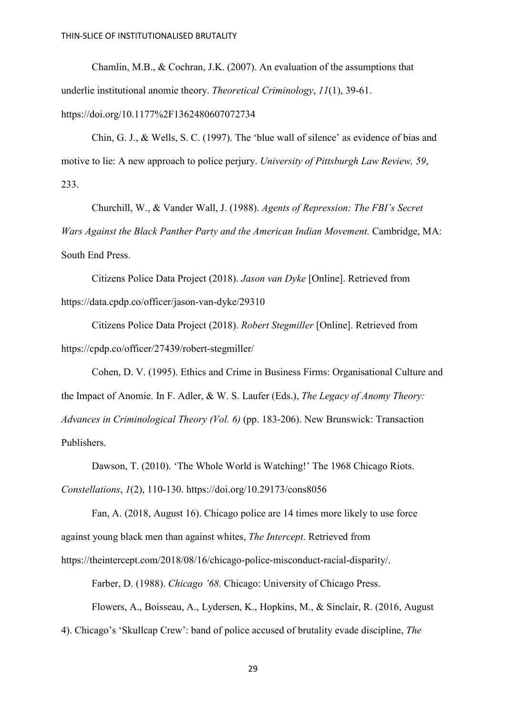Chamlin, M.B., & Cochran, J.K. (2007). An evaluation of the assumptions that underlie institutional anomie theory. *Theoretical Criminology*, *11*(1), 39-61. https://doi.org/10.1177%2F1362480607072734

Chin, G. J., & Wells, S. C. (1997). The 'blue wall of silence' as evidence of bias and motive to lie: A new approach to police perjury. *University of Pittsburgh Law Review, 59*, 233.

Churchill, W., & Vander Wall, J. (1988). *Agents of Repression: The FBI's Secret Wars Against the Black Panther Party and the American Indian Movement.* Cambridge, MA: South End Press.

Citizens Police Data Project (2018). *Jason van Dyke* [Online]. Retrieved from https://data.cpdp.co/officer/jason-van-dyke/29310

Citizens Police Data Project (2018). *Robert Stegmiller* [Online]. Retrieved from https://cpdp.co/officer/27439/robert-stegmiller/

Cohen, D. V. (1995). Ethics and Crime in Business Firms: Organisational Culture and the Impact of Anomie. In F. Adler, & W. S. Laufer (Eds.), *The Legacy of Anomy Theory: Advances in Criminological Theory (Vol. 6)* (pp. 183-206). New Brunswick: Transaction Publishers.

Dawson, T. (2010). 'The Whole World is Watching!' The 1968 Chicago Riots. *Constellations*, *1*(2), 110-130. https://doi.org/10.29173/cons8056

Fan, A. (2018, August 16). Chicago police are 14 times more likely to use force against young black men than against whites, *The Intercept*. Retrieved from https://theintercept.com/2018/08/16/chicago-police-misconduct-racial-disparity/.

Farber, D. (1988). *Chicago '68.* Chicago: University of Chicago Press. Flowers, A., Boisseau, A., Lydersen, K., Hopkins, M., & Sinclair, R. (2016, August

4). Chicago's 'Skullcap Crew': band of police accused of brutality evade discipline, *The*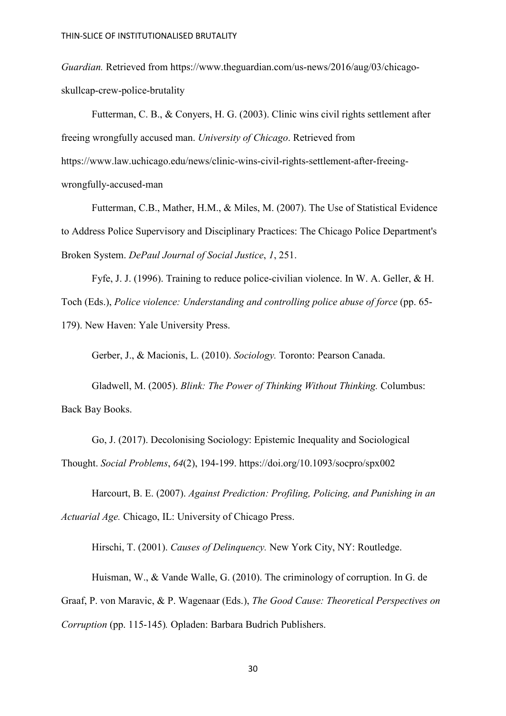*Guardian.* Retrieved from https://www.theguardian.com/us-news/2016/aug/03/chicagoskullcap-crew-police-brutality

Futterman, C. B., & Conyers, H. G. (2003). Clinic wins civil rights settlement after freeing wrongfully accused man. *University of Chicago*. Retrieved from https://www.law.uchicago.edu/news/clinic-wins-civil-rights-settlement-after-freeingwrongfully-accused-man

Futterman, C.B., Mather, H.M., & Miles, M. (2007). The Use of Statistical Evidence to Address Police Supervisory and Disciplinary Practices: The Chicago Police Department's Broken System. *DePaul Journal of Social Justice*, *1*, 251.

Fyfe, J. J. (1996). Training to reduce police-civilian violence. In W. A. Geller, & H. Toch (Eds.), *Police violence: Understanding and controlling police abuse of force* (pp. 65- 179). New Haven: Yale University Press.

Gerber, J., & Macionis, L. (2010). *Sociology.* Toronto: Pearson Canada.

Gladwell, M. (2005). *Blink: The Power of Thinking Without Thinking.* Columbus: Back Bay Books.

Go, J. (2017). Decolonising Sociology: Epistemic Inequality and Sociological Thought. *Social Problems*, *64*(2), 194-199. https://doi.org/10.1093/socpro/spx002

Harcourt, B. E. (2007). *Against Prediction: Profiling, Policing, and Punishing in an Actuarial Age.* Chicago, IL: University of Chicago Press.

Hirschi, T. (2001). *Causes of Delinquency.* New York City, NY: Routledge.

Huisman, W., & Vande Walle, G. (2010). The criminology of corruption. In G. de Graaf, P. von Maravic, & P. Wagenaar (Eds.), *The Good Cause: Theoretical Perspectives on Corruption* (pp. 115-145)*.* Opladen: Barbara Budrich Publishers.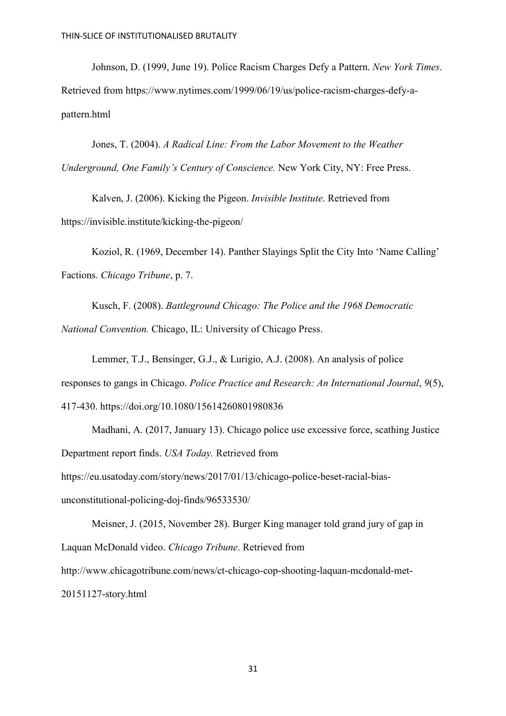Johnson, D. (1999, June 19). Police Racism Charges Defy a Pattern. *New York Times*. Retrieved from https://www.nytimes.com/1999/06/19/us/police-racism-charges-defy-apattern.html

Jones, T. (2004). *A Radical Line: From the Labor Movement to the Weather Underground, One Family's Century of Conscience.* New York City, NY: Free Press.

Kalven, J. (2006). Kicking the Pigeon. *Invisible Institute*. Retrieved from https://invisible.institute/kicking-the-pigeon/

Koziol, R. (1969, December 14). Panther Slayings Split the City Into 'Name Calling' Factions. *Chicago Tribune*, p. 7.

Kusch, F. (2008). *Battleground Chicago: The Police and the 1968 Democratic National Convention.* Chicago, IL: University of Chicago Press.

Lemmer, T.J., Bensinger, G.J., & Lurigio, A.J. (2008). An analysis of police responses to gangs in Chicago. *Police Practice and Research: An International Journal*, *9*(5), 417-430. https://doi.org/10.1080/15614260801980836

Madhani, A. (2017, January 13). Chicago police use excessive force, scathing Justice Department report finds. *USA Today.* Retrieved from https://eu.usatoday.com/story/news/2017/01/13/chicago-police-beset-racial-biasunconstitutional-policing-doj-finds/96533530/

Meisner, J. (2015, November 28). Burger King manager told grand jury of gap in Laquan McDonald video. *Chicago Tribune*. Retrieved from http://www.chicagotribune.com/news/ct-chicago-cop-shooting-laquan-mcdonald-met-20151127-story.html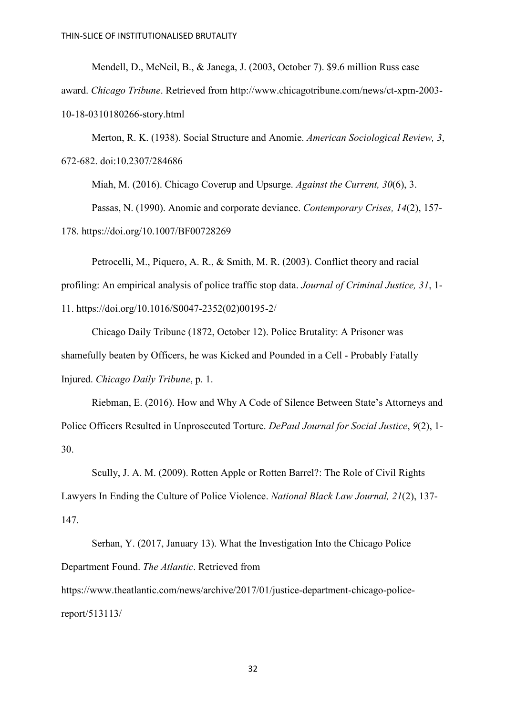Mendell, D., McNeil, B., & Janega, J. (2003, October 7). \$9.6 million Russ case award. *Chicago Tribune*. Retrieved from http://www.chicagotribune.com/news/ct-xpm-2003- 10-18-0310180266-story.html

Merton, R. K. (1938). Social Structure and Anomie. *American Sociological Review, 3*, 672-682. doi:10.2307/284686

Miah, M. (2016). Chicago Coverup and Upsurge. *Against the Current, 30*(6), 3. Passas, N. (1990). Anomie and corporate deviance. *Contemporary Crises, 14*(2), 157- 178. https://doi.org/10.1007/BF00728269

Petrocelli, M., Piquero, A. R., & Smith, M. R. (2003). Conflict theory and racial profiling: An empirical analysis of police traffic stop data. *Journal of Criminal Justice, 31*, 1- 11. https://doi.org/10.1016/S0047-2352(02)00195-2/

Chicago Daily Tribune (1872, October 12). Police Brutality: A Prisoner was shamefully beaten by Officers, he was Kicked and Pounded in a Cell - Probably Fatally Injured. *Chicago Daily Tribune*, p. 1.

Riebman, E. (2016). How and Why A Code of Silence Between State's Attorneys and Police Officers Resulted in Unprosecuted Torture. *DePaul Journal for Social Justice*, *9*(2), 1- 30.

Scully, J. A. M. (2009). Rotten Apple or Rotten Barrel?: The Role of Civil Rights Lawyers In Ending the Culture of Police Violence. *National Black Law Journal, 21*(2), 137- 147.

Serhan, Y. (2017, January 13). What the Investigation Into the Chicago Police Department Found. *The Atlantic*. Retrieved from https://www.theatlantic.com/news/archive/2017/01/justice-department-chicago-policereport/513113/

32